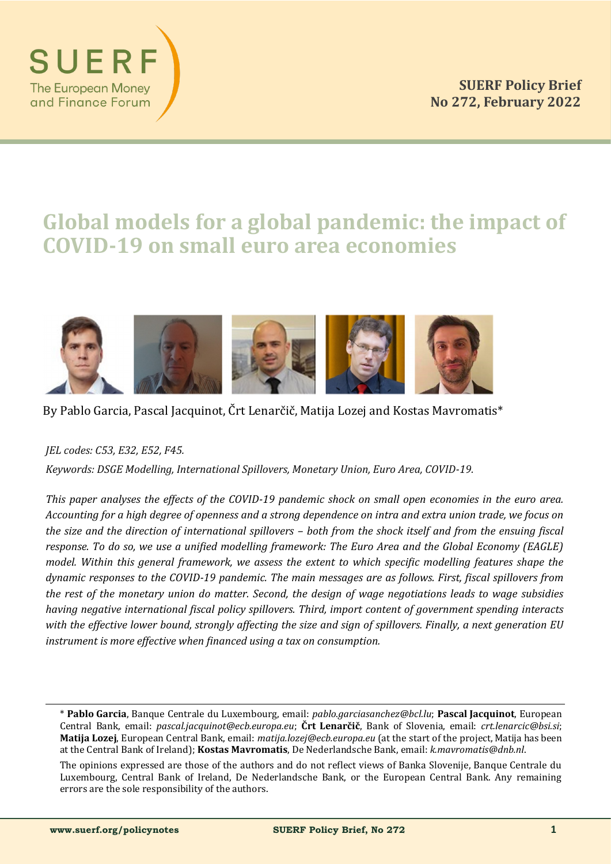

# **Global models for a global pandemic: the impact of COVID-19 on small euro area economies**



# By Pablo Garcia, Pascal Jacquinot, Črt Lenarčič, Matija Lozej and Kostas Mavromatis\*

*JEL codes: C53, E32, E52, F45.*

*Keywords: DSGE Modelling, International Spillovers, Monetary Union, Euro Area, COVID-19.*

*This paper analyses the effects of the COVID-19 pandemic shock on small open economies in the euro area. Accounting for a high degree of openness and a strong dependence on intra and extra union trade, we focus on the size and the direction of international spillovers – both from the shock itself and from the ensuing fiscal response. To do so, we use a unified modelling framework: The Euro Area and the Global Economy (EAGLE) model. Within this general framework, we assess the extent to which specific modelling features shape the dynamic responses to the COVID-19 pandemic. The main messages are as follows. First, fiscal spillovers from the rest of the monetary union do matter. Second, the design of wage negotiations leads to wage subsidies having negative international fiscal policy spillovers. Third, import content of government spending interacts with the effective lower bound, strongly affecting the size and sign of spillovers. Finally, a next generation EU instrument is more effective when financed using a tax on consumption.*

<sup>\*</sup> **Pablo Garcia**, Banque Čentrale du Luxembourg, email: *pablo.garciasanchez@bcl.lu*; **Pascal Jacquinot**, European Čentral Bank, email: *pascal.jacquinot@ecb.europa.eu*; **Črt Lenarčič**, Bank of Slovenia, email: *crt.lenarcic@bsi.si*; **Matija Lozej**, European Čentral Bank, email: *matija.lozej@ecb.europa.eu* (at the start of the project, Matija has been at the Čentral Bank of Ireland); **Kostas Mavromatis**, De Nederlandsche Bank, email: *k.mavromatis@dnb.nl*.

The opinions expressed are those of the authors and do not reflect views of Banka Slovenije, Banque Čentrale du Luxembourg, Čentral Bank of Ireland, De Nederlandsche Bank, or the European Čentral Bank. Any remaining errors are the sole responsibility of the authors.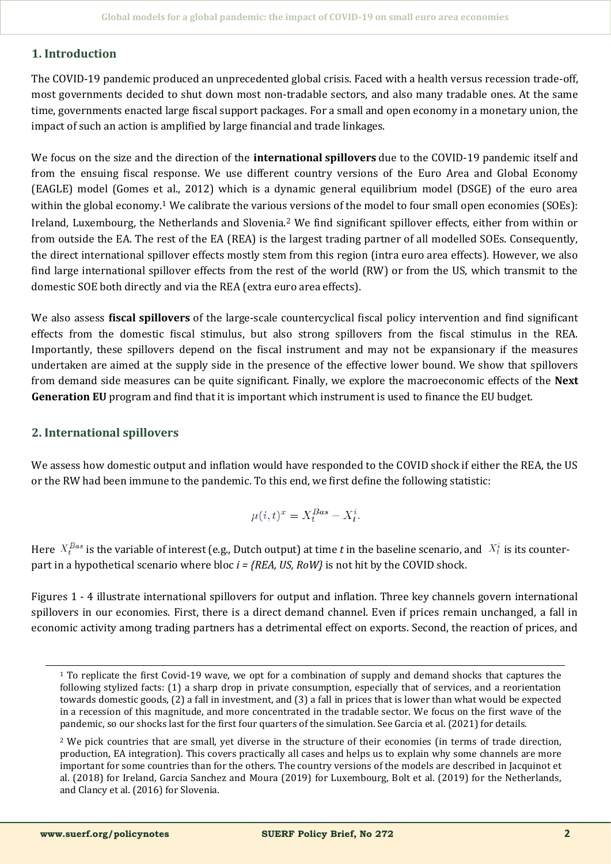# **1. Introduction**

The ČOVID-19 pandemic produced an unprecedented global crisis. Faced with a health versus recession trade-off, most governments decided to shut down most non-tradable sectors, and also many tradable ones. At the same time, governments enacted large fiscal support packages. For a small and open economy in a monetary union, the impact of such an action is amplified by large financial and trade linkages.

We focus on the size and the direction of the **international spillovers** due to the ČOVID-19 pandemic itself and from the ensuing fiscal response. We use different country versions of the Euro Area and Global Economy (EAGLE) model (Gomes et al., 2012) which is a dynamic general equilibrium model (DSGE) of the euro area within the global economy.<sup>1</sup> We calibrate the various versions of the model to four small open economies (SOEs): Ireland, Luxembourg, the Netherlands and Slovenia.<sup>2</sup> We find significant spillover effects, either from within or from outside the EA. The rest of the EA (REA) is the largest trading partner of all modelled SOEs. Čonsequently, the direct international spillover effects mostly stem from this region (intra euro area effects). However, we also find large international spillover effects from the rest of the world (RW) or from the US, which transmit to the domestic SOE both directly and via the REA (extra euro area effects).

We also assess **fiscal spillovers** of the large-scale countercyclical fiscal policy intervention and find significant effects from the domestic fiscal stimulus, but also strong spillovers from the fiscal stimulus in the REA. Importantly, these spillovers depend on the fiscal instrument and may not be expansionary if the measures undertaken are aimed at the supply side in the presence of the effective lower bound. We show that spillovers from demand side measures can be quite significant. Finally, we explore the macroeconomic effects of the **Next Generation EU** program and find that it is important which instrument is used to finance the EU budget.

# **2. International spillovers**

We assess how domestic output and inflation would have responded to the ČOVID shock if either the REA, the US or the RW had been immune to the pandemic. To this end, we first define the following statistic:

$$
\mu(i,t)^x = X_t^{Bas} - X_t^i.
$$

Here  $X_t^{Bas}$  is the variable of interest (e.g., Dutch output) at time *t* in the baseline scenario, and  $X_t^i$  is its counterpart in a hypothetical scenario where bloc *i = {REA, US, RoW}* is not hit by the ČOVID shock.

Figures 1 - 4 illustrate international spillovers for output and inflation. Three key channels govern international spillovers in our economies. First, there is a direct demand channel. Even if prices remain unchanged, a fall in economic activity among trading partners has a detrimental effect on exports. Second, the reaction of prices, and

<sup>1</sup> To replicate the first Čovid-19 wave, we opt for a combination of supply and demand shocks that captures the following stylized facts: (1) a sharp drop in private consumption, especially that of services, and a reorientation towards domestic goods, (2) a fall in investment, and (3) a fall in prices that is lower than what would be expected in a recession of this magnitude, and more concentrated in the tradable sector. We focus on the first wave of the pandemic, so our shocks last for the first four quarters of the simulation. See Garcia et al. (2021) for details.

<sup>&</sup>lt;sup>2</sup> We pick countries that are small, yet diverse in the structure of their economies (in terms of trade direction, production, EA integration). This covers practically all cases and helps us to explain why some channels are more important for some countries than for the others. The country versions of the models are described in Jacquinot et al. (2018) for Ireland, Garcia Sanchez and Moura (2019) for Luxembourg, Bolt et al. (2019) for the Netherlands, and Člancy et al. (2016) for Slovenia.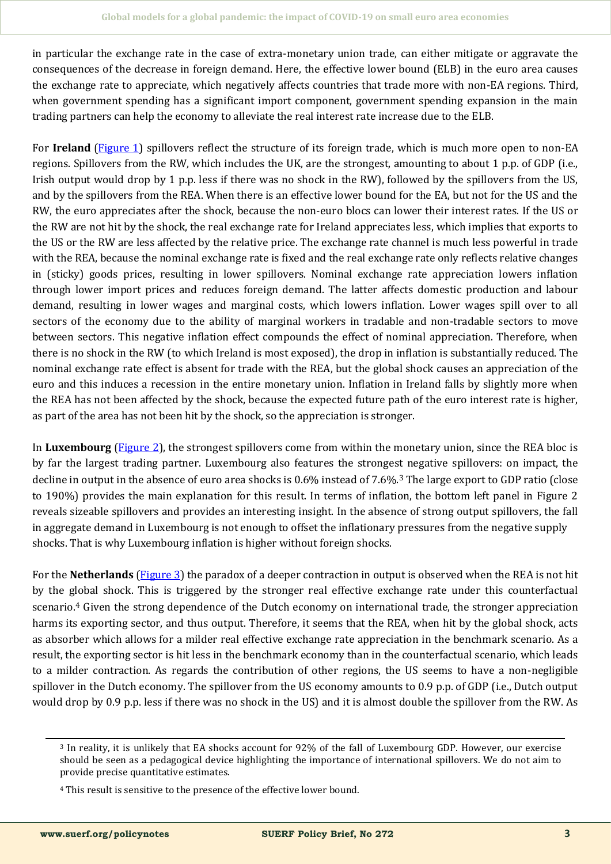in particular the exchange rate in the case of extra-monetary union trade, can either mitigate or aggravate the consequences of the decrease in foreign demand. Here, the effective lower bound (ELB) in the euro area causes the exchange rate to appreciate, which negatively affects countries that trade more with non-EA regions. Third, when government spending has a significant import component, government spending expansion in the main trading partners can help the economy to alleviate the real interest rate increase due to the ELB.

For **Ireland** ([Figure 1\)](#page-6-0) spillovers reflect the structure of its foreign trade, which is much more open to non-EA regions. Spillovers from the RW, which includes the UK, are the strongest, amounting to about 1 p.p. of GDP (i.e., Irish output would drop by 1 p.p. less if there was no shock in the RW), followed by the spillovers from the US, and by the spillovers from the REA. When there is an effective lower bound for the EA, but not for the US and the RW, the euro appreciates after the shock, because the non-euro blocs can lower their interest rates. If the US or the RW are not hit by the shock, the real exchange rate for Ireland appreciates less, which implies that exports to the US or the RW are less affected by the relative price. The exchange rate channel is much less powerful in trade with the REA, because the nominal exchange rate is fixed and the real exchange rate only reflects relative changes in (sticky) goods prices, resulting in lower spillovers. Nominal exchange rate appreciation lowers inflation through lower import prices and reduces foreign demand. The latter affects domestic production and labour demand, resulting in lower wages and marginal costs, which lowers inflation. Lower wages spill over to all sectors of the economy due to the ability of marginal workers in tradable and non-tradable sectors to move between sectors. This negative inflation effect compounds the effect of nominal appreciation. Therefore, when there is no shock in the RW (to which Ireland is most exposed), the drop in inflation is substantially reduced. The nominal exchange rate effect is absent for trade with the REA, but the global shock causes an appreciation of the euro and this induces a recession in the entire monetary union. Inflation in Ireland falls by slightly more when the REA has not been affected by the shock, because the expected future path of the euro interest rate is higher, as part of the area has not been hit by the shock, so the appreciation is stronger.

In **Luxembourg** ([Figure 2\)](#page-6-0), the strongest spillovers come from within the monetary union, since the REA bloc is by far the largest trading partner. Luxembourg also features the strongest negative spillovers: on impact, the decline in output in the absence of euro area shocks is 0.6% instead of 7.6%.<sup>3</sup> The large export to GDP ratio (close to 190%) provides the main explanation for this result. In terms of inflation, the bottom left panel in Figure 2 reveals sizeable spillovers and provides an interesting insight. In the absence of strong output spillovers, the fall in aggregate demand in Luxembourg is not enough to offset the inflationary pressures from the negative supply shocks. That is why Luxembourg inflation is higher without foreign shocks.

For the **Netherlands** ([Figure 3\)](#page-7-0) the paradox of a deeper contraction in output is observed when the REA is not hit by the global shock. This is triggered by the stronger real effective exchange rate under this counterfactual scenario.<sup>4</sup> Given the strong dependence of the Dutch economy on international trade, the stronger appreciation harms its exporting sector, and thus output. Therefore, it seems that the REA, when hit by the global shock, acts as absorber which allows for a milder real effective exchange rate appreciation in the benchmark scenario. As a result, the exporting sector is hit less in the benchmark economy than in the counterfactual scenario, which leads to a milder contraction. As regards the contribution of other regions, the US seems to have a non-negligible spillover in the Dutch economy. The spillover from the US economy amounts to 0.9 p.p. of GDP (i.e., Dutch output would drop by 0.9 p.p. less if there was no shock in the US) and it is almost double the spillover from the RW. As

<sup>3</sup> In reality, it is unlikely that EA shocks account for 92% of the fall of Luxembourg GDP. However, our exercise should be seen as a pedagogical device highlighting the importance of international spillovers. We do not aim to provide precise quantitative estimates.

<sup>4</sup> This result is sensitive to the presence of the effective lower bound.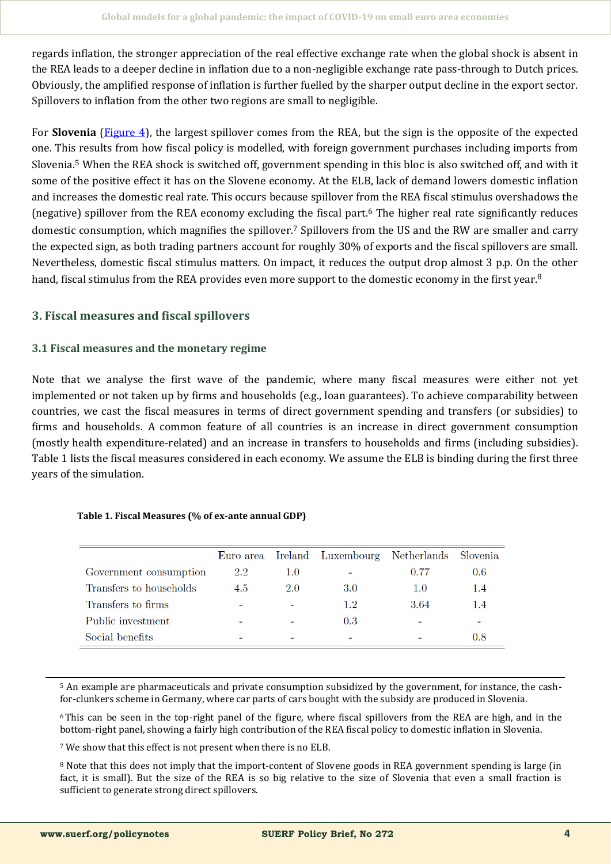regards inflation, the stronger appreciation of the real effective exchange rate when the global shock is absent in the REA leads to a deeper decline in inflation due to a non-negligible exchange rate pass-through to Dutch prices. Obviously, the amplified response of inflation is further fuelled by the sharper output decline in the export sector. Spillovers to inflation from the other two regions are small to negligible.

For **Slovenia** ([Figure 4\),](#page-7-0) the largest spillover comes from the REA, but the sign is the opposite of the expected one. This results from how fiscal policy is modelled, with foreign government purchases including imports from Slovenia.<sup>5</sup> When the REA shock is switched off, government spending in this bloc is also switched off, and with it some of the positive effect it has on the Slovene economy. At the ELB, lack of demand lowers domestic inflation and increases the domestic real rate. This occurs because spillover from the REA fiscal stimulus overshadows the (negative) spillover from the REA economy excluding the fiscal part.<sup>6</sup> The higher real rate significantly reduces domestic consumption, which magnifies the spillover.<sup>7</sup> Spillovers from the US and the RW are smaller and carry the expected sign, as both trading partners account for roughly 30% of exports and the fiscal spillovers are small. Nevertheless, domestic fiscal stimulus matters. On impact, it reduces the output drop almost 3 p.p. On the other hand, fiscal stimulus from the REA provides even more support to the domestic economy in the first year.<sup>8</sup>

# **3. Fiscal measures and fiscal spillovers**

## **3.1 Fiscal measures and the monetary regime**

Note that we analyse the first wave of the pandemic, where many fiscal measures were either not yet implemented or not taken up by firms and households (e.g., loan guarantees). To achieve comparability between countries, we cast the fiscal measures in terms of direct government spending and transfers (or subsidies) to firms and households. A common feature of all countries is an increase in direct government consumption (mostly health expenditure-related) and an increase in transfers to households and firms (including subsidies). Table 1 lists the fiscal measures considered in each economy. We assume the ELB is binding during the first three years of the simulation.

|                         |     |     | Euro area Ireland Luxembourg Netherlands Slovenia |      |     |
|-------------------------|-----|-----|---------------------------------------------------|------|-----|
| Government consumption  | 2.2 | 1.0 |                                                   | 0.77 | 0.6 |
| Transfers to households | 4.5 | 2.0 | 3.0                                               | 1.0  | 1.4 |
| Transfers to firms      |     |     | 1.2                                               | 3.64 | 1.4 |
| Public investment       |     |     | 0.3                                               |      |     |
| Social benefits         |     |     |                                                   |      | 0.8 |

## **Table 1. Fiscal Measures (% of ex-ante annual GDP)**

<sup>5</sup> An example are pharmaceuticals and private consumption subsidized by the government, for instance, the cashfor-clunkers scheme in Germany, where car parts of cars bought with the subsidy are produced in Slovenia.

<sup>6</sup>This can be seen in the top-right panel of the figure, where fiscal spillovers from the REA are high, and in the bottom-right panel, showing a fairly high contribution of the REA fiscal policy to domestic inflation in Slovenia.

<sup>7</sup> We show that this effect is not present when there is no ELB.

<sup>8</sup> Note that this does not imply that the import-content of Slovene goods in REA government spending is large (in fact, it is small). But the size of the REA is so big relative to the size of Slovenia that even a small fraction is sufficient to generate strong direct spillovers.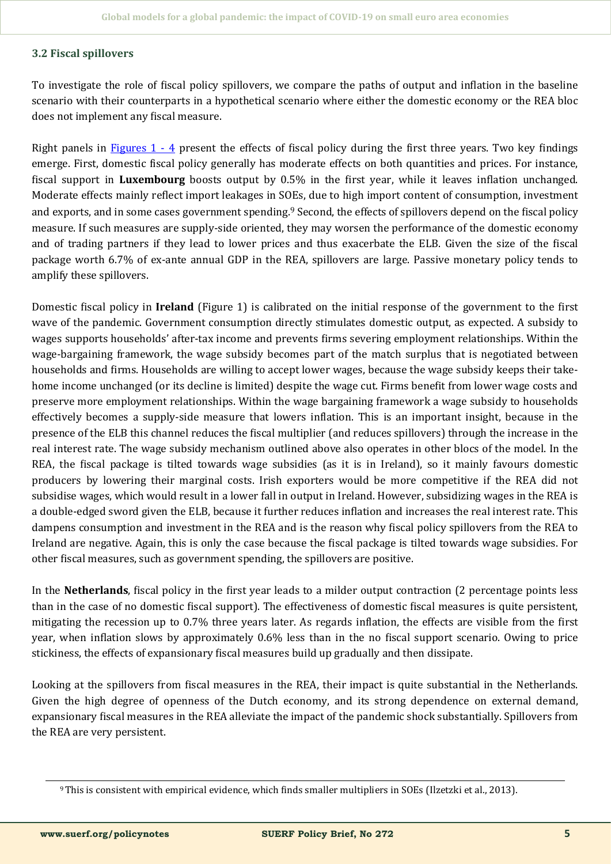# **3.2 Fiscal spillovers**

To investigate the role of fiscal policy spillovers, we compare the paths of output and inflation in the baseline scenario with their counterparts in a hypothetical scenario where either the domestic economy or the REA bloc does not implement any fiscal measure.

Right panels in Figures  $1 - 4$  present the effects of fiscal policy during the first three years. Two key findings emerge. First, domestic fiscal policy generally has moderate effects on both quantities and prices. For instance, fiscal support in **Luxembourg** boosts output by 0.5% in the first year, while it leaves inflation unchanged. Moderate effects mainly reflect import leakages in SOEs, due to high import content of consumption, investment and exports, and in some cases government spending.<sup>9</sup> Second, the effects of spillovers depend on the fiscal policy measure. If such measures are supply-side oriented, they may worsen the performance of the domestic economy and of trading partners if they lead to lower prices and thus exacerbate the ELB. Given the size of the fiscal package worth 6.7% of ex-ante annual GDP in the REA, spillovers are large. Passive monetary policy tends to amplify these spillovers.

Domestic fiscal policy in **Ireland** (Figure 1) is calibrated on the initial response of the government to the first wave of the pandemic. Government consumption directly stimulates domestic output, as expected. A subsidy to wages supports households' after-tax income and prevents firms severing employment relationships. Within the wage-bargaining framework, the wage subsidy becomes part of the match surplus that is negotiated between households and firms. Households are willing to accept lower wages, because the wage subsidy keeps their takehome income unchanged (or its decline is limited) despite the wage cut. Firms benefit from lower wage costs and preserve more employment relationships. Within the wage bargaining framework a wage subsidy to households effectively becomes a supply-side measure that lowers inflation. This is an important insight, because in the presence of the ELB this channel reduces the fiscal multiplier (and reduces spillovers) through the increase in the real interest rate. The wage subsidy mechanism outlined above also operates in other blocs of the model. In the REA, the fiscal package is tilted towards wage subsidies (as it is in Ireland), so it mainly favours domestic producers by lowering their marginal costs. Irish exporters would be more competitive if the REA did not subsidise wages, which would result in a lower fall in output in Ireland. However, subsidizing wages in the REA is a double-edged sword given the ELB, because it further reduces inflation and increases the real interest rate. This dampens consumption and investment in the REA and is the reason why fiscal policy spillovers from the REA to Ireland are negative. Again, this is only the case because the fiscal package is tilted towards wage subsidies. For other fiscal measures, such as government spending, the spillovers are positive.

In the **Netherlands**, fiscal policy in the first year leads to a milder output contraction (2 percentage points less than in the case of no domestic fiscal support). The effectiveness of domestic fiscal measures is quite persistent, mitigating the recession up to 0.7% three years later. As regards inflation, the effects are visible from the first year, when inflation slows by approximately 0.6% less than in the no fiscal support scenario. Owing to price stickiness, the effects of expansionary fiscal measures build up gradually and then dissipate.

Looking at the spillovers from fiscal measures in the REA, their impact is quite substantial in the Netherlands. Given the high degree of openness of the Dutch economy, and its strong dependence on external demand, expansionary fiscal measures in the REA alleviate the impact of the pandemic shock substantially. Spillovers from the REA are very persistent.

<sup>9</sup> This is consistent with empirical evidence, which finds smaller multipliers in SOEs (Ilzetzki et al., 2013).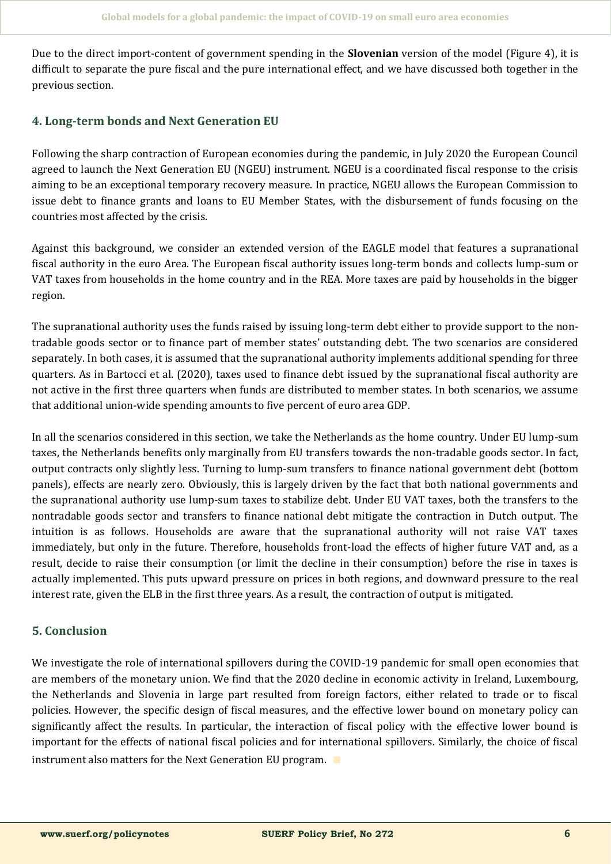Due to the direct import-content of government spending in the **Slovenian** version of the model (Figure 4), it is difficult to separate the pure fiscal and the pure international effect, and we have discussed both together in the previous section.

# **4. Long-term bonds and Next Generation EU**

Following the sharp contraction of European economies during the pandemic, in July 2020 the European Čouncil agreed to launch the Next Generation EU (NGEU) instrument. NGEU is a coordinated fiscal response to the crisis aiming to be an exceptional temporary recovery measure. In practice, NGEU allows the European Čommission to issue debt to finance grants and loans to EU Member States, with the disbursement of funds focusing on the countries most affected by the crisis.

Against this background, we consider an extended version of the EAGLE model that features a supranational fiscal authority in the euro Area. The European fiscal authority issues long-term bonds and collects lump-sum or VAT taxes from households in the home country and in the REA. More taxes are paid by households in the bigger region.

The supranational authority uses the funds raised by issuing long-term debt either to provide support to the nontradable goods sector or to finance part of member states' outstanding debt. The two scenarios are considered separately. In both cases, it is assumed that the supranational authority implements additional spending for three quarters. As in Bartocci et al. (2020), taxes used to finance debt issued by the supranational fiscal authority are not active in the first three quarters when funds are distributed to member states. In both scenarios, we assume that additional union-wide spending amounts to five percent of euro area GDP.

In all the scenarios considered in this section, we take the Netherlands as the home country. Under EU lump-sum taxes, the Netherlands benefits only marginally from EU transfers towards the non-tradable goods sector. In fact, output contracts only slightly less. Turning to lump-sum transfers to finance national government debt (bottom panels), effects are nearly zero. Obviously, this is largely driven by the fact that both national governments and the supranational authority use lump-sum taxes to stabilize debt. Under EU VAT taxes, both the transfers to the nontradable goods sector and transfers to finance national debt mitigate the contraction in Dutch output. The intuition is as follows. Households are aware that the supranational authority will not raise VAT taxes immediately, but only in the future. Therefore, households front-load the effects of higher future VAT and, as a result, decide to raise their consumption (or limit the decline in their consumption) before the rise in taxes is actually implemented. This puts upward pressure on prices in both regions, and downward pressure to the real interest rate, given the ELB in the first three years. As a result, the contraction of output is mitigated.

# **5. Conclusion**

We investigate the role of international spillovers during the COVID-19 pandemic for small open economies that are members of the monetary union. We find that the 2020 decline in economic activity in Ireland, Luxembourg, the Netherlands and Slovenia in large part resulted from foreign factors, either related to trade or to fiscal policies. However, the specific design of fiscal measures, and the effective lower bound on monetary policy can significantly affect the results. In particular, the interaction of fiscal policy with the effective lower bound is important for the effects of national fiscal policies and for international spillovers. Similarly, the choice of fiscal instrument also matters for the Next Generation EU program. ∎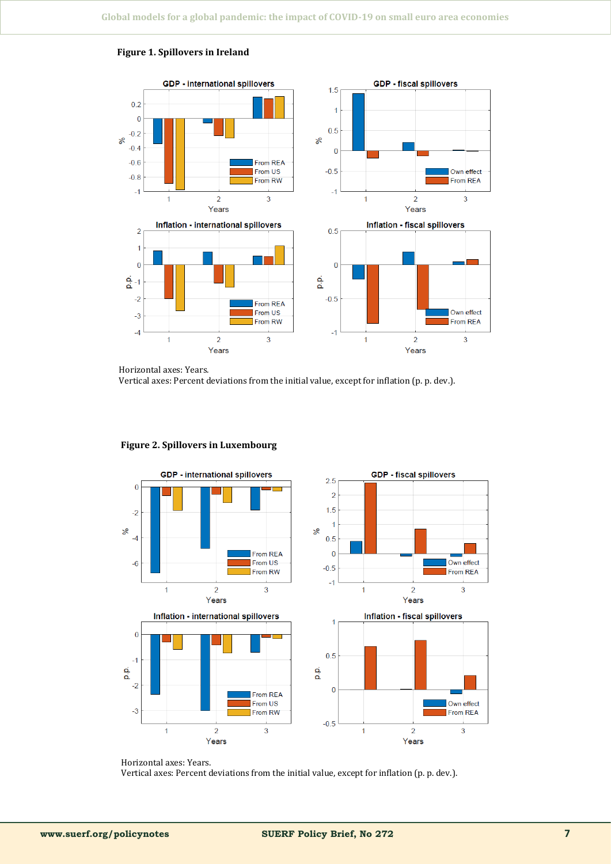

#### <span id="page-6-0"></span>**Figure 1. Spillovers in Ireland**

Horizontal axes: Years.

Vertical axes: Percent deviations from the initial value, except for inflation (p. p. dev.).



#### **Figure 2. Spillovers in Luxembourg**

Horizontal axes: Years. Vertical axes: Percent deviations from the initial value, except for inflation (p. p. dev.).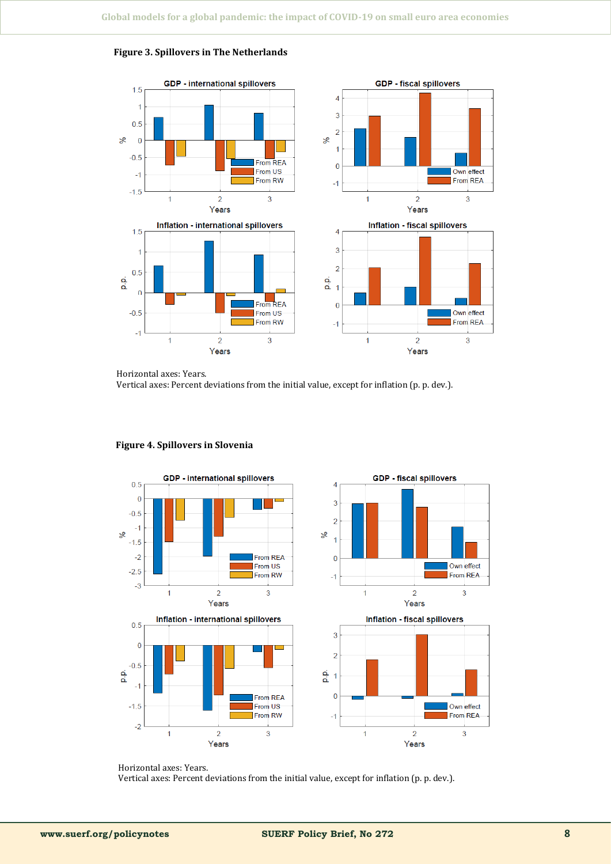

## <span id="page-7-0"></span>**Figure 3. Spillovers in The Netherlands**

Horizontal axes: Years.

Vertical axes: Percent deviations from the initial value, except for inflation (p. p. dev.).



#### **Figure 4. Spillovers in Slovenia**

Horizontal axes: Years. Vertical axes: Percent deviations from the initial value, except for inflation (p. p. dev.).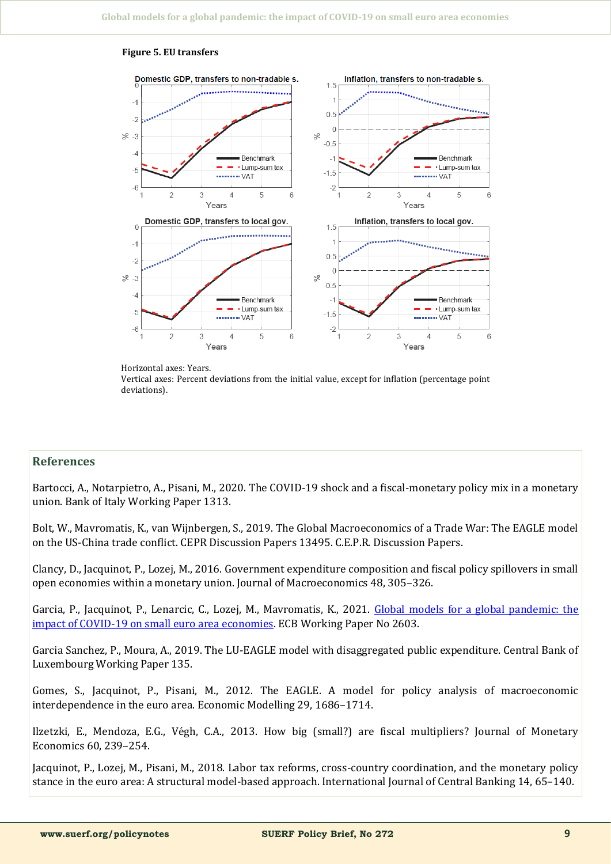

#### **Figure 5. EU transfers**

Horizontal axes: Years. Vertical axes: Percent deviations from the initial value, except for inflation (percentage point deviations).

## **References**

Bartocci, A., Notarpietro, A., Pisani, M., 2020. The ČOVID-19 shock and a fiscal-monetary policy mix in a monetary union. Bank of Italy Working Paper 1313.

Bolt, W., Mavromatis, K., van Wijnbergen, S., 2019. The Global Macroeconomics of a Trade War: The EAGLE model on the US-Čhina trade conflict. ČEPR Discussion Papers 13495. Č.E.P.R. Discussion Papers.

Člancy, D., Jacquinot, P., Lozej, M., 2016. Government expenditure composition and fiscal policy spillovers in small open economies within a monetary union. Journal of Macroeconomics 48, 305–326.

Garcia, P., Jacquinot, P., Lenarcic, C., Lozej, M., Mavromatis, K., 2021. Global models for a global pandemic: the impact of ČOVID-[19 on small euro area economies.](https://www.ecb.europa.eu/pub/pdf/scpwps/ecb.wp2603~95e887c0db.en.pdf) EČB Working Paper No 2603.

Garcia Sanchez, P., Moura, A., 2019. The LU-EAGLE model with disaggregated public expenditure. Čentral Bank of Luxembourg Working Paper 135.

Gomes, S., Jacquinot, P., Pisani, M., 2012. The EAGLE. A model for policy analysis of macroeconomic interdependence in the euro area. Economic Modelling 29, 1686–1714.

Ilzetzki, E., Mendoza, E.G., Végh, C.A., 2013. How big (small?) are fiscal multipliers? Journal of Monetary Economics 60, 239–254.

Jacquinot, P., Lozej, M., Pisani, M., 2018. Labor tax reforms, cross-country coordination, and the monetary policy stance in the euro area: A structural model-based approach. International Journal of Čentral Banking 14, 65–140.